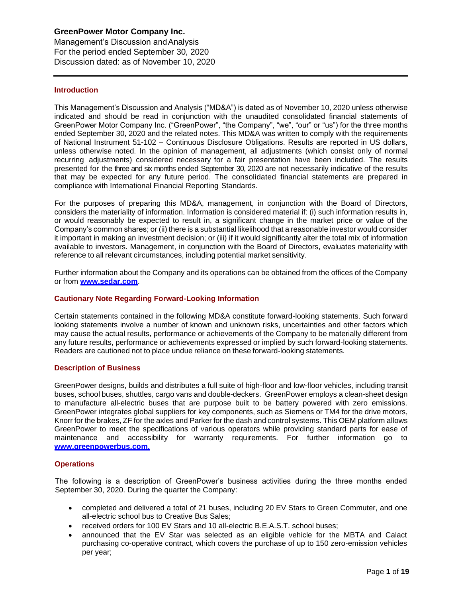Management's Discussion andAnalysis For the period ended September 30, 2020 Discussion dated: as of November 10, 2020

## **Introduction**

, 2020

This Management's Discussion and Analysis ("MD&A") is dated as of November 10, 2020 unless otherwise indicated and should be read in conjunction with the unaudited consolidated financial statements of GreenPower Motor Company Inc. ("GreenPower", "the Company", "we", "our" or "us") for the three months ended September 30, 2020 and the related notes. This MD&A was written to comply with the requirements of National Instrument 51-102 – Continuous Disclosure Obligations. Results are reported in US dollars, unless otherwise noted. In the opinion of management, all adjustments (which consist only of normal recurring adjustments) considered necessary for a fair presentation have been included. The results presented for the three and six months ended September 30, 2020 are not necessarily indicative of the results that may be expected for any future period. The consolidated financial statements are prepared in compliance with International Financial Reporting Standards.

For the purposes of preparing this MD&A, management, in conjunction with the Board of Directors, considers the materiality of information. Information is considered material if: (i) such information results in, or would reasonably be expected to result in, a significant change in the market price or value of the Company's common shares; or (ii) there is a substantial likelihood that a reasonable investor would consider it important in making an investment decision; or (iii) if it would significantly alter the total mix of information available to investors. Management, in conjunction with the Board of Directors, evaluates materiality with reference to all relevant circumstances, including potential market sensitivity.

Further information about the Company and its operations can be obtained from the offices of the Company or from **[www.sedar.com](http://www.sedar.com/)**.

## **Cautionary Note Regarding Forward-Looking Information**

Certain statements contained in the following MD&A constitute forward-looking statements. Such forward looking statements involve a number of known and unknown risks, uncertainties and other factors which may cause the actual results, performance or achievements of the Company to be materially different from any future results, performance or achievements expressed or implied by such forward-looking statements. Readers are cautioned not to place undue reliance on these forward-looking statements.

### **Description of Business**

GreenPower designs, builds and distributes a full suite of high-floor and low-floor vehicles, including transit buses, school buses, shuttles, cargo vans and double-deckers. GreenPower employs a clean-sheet design to manufacture all-electric buses that are purpose built to be battery powered with zero emissions. GreenPower integrates global suppliers for key components, such as Siemens or TM4 for the drive motors, Knorr for the brakes, ZF for the axles and Parker for the dash and control systems. This OEM platform allows GreenPower to meet the specifications of various operators while providing standard parts for ease of maintenance and accessibility for warranty requirements. For further information go to **[www.greenpowerbus.com.](http://www.greenpowerbus.com/)**

### **Operations**

The following is a description of GreenPower's business activities during the three months ended September 30, 2020. During the quarter the Company:

- completed and delivered a total of 21 buses, including 20 EV Stars to Green Commuter, and one all-electric school bus to Creative Bus Sales;
- received orders for 100 EV Stars and 10 all-electric B.E.A.S.T. school buses;
- announced that the EV Star was selected as an eligible vehicle for the MBTA and Calact purchasing co-operative contract, which covers the purchase of up to 150 zero-emission vehicles per year;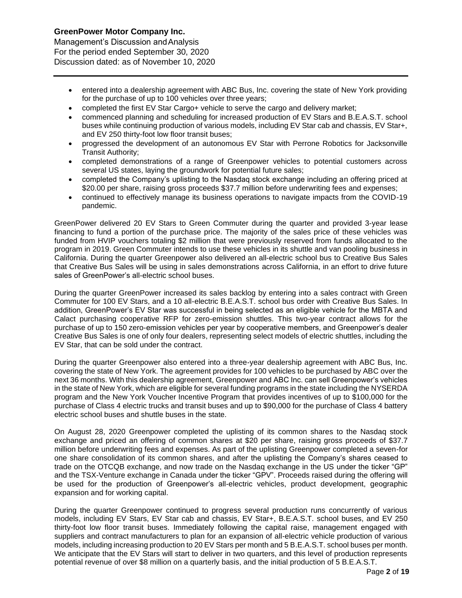, 2020

Management's Discussion andAnalysis For the period ended September 30, 2020 Discussion dated: as of November 10, 2020

- entered into a dealership agreement with ABC Bus, Inc. covering the state of New York providing for the purchase of up to 100 vehicles over three years;
- completed the first EV Star Cargo+ vehicle to serve the cargo and delivery market;
- commenced planning and scheduling for increased production of EV Stars and B.E.A.S.T. school buses while continuing production of various models, including EV Star cab and chassis, EV Star+, and EV 250 thirty-foot low floor transit buses;
- progressed the development of an autonomous EV Star with Perrone Robotics for Jacksonville Transit Authority;
- completed demonstrations of a range of Greenpower vehicles to potential customers across several US states, laying the groundwork for potential future sales;
- completed the Company's uplisting to the Nasdaq stock exchange including an offering priced at \$20.00 per share, raising gross proceeds \$37.7 million before underwriting fees and expenses;
- continued to effectively manage its business operations to navigate impacts from the COVID-19 pandemic.

GreenPower delivered 20 EV Stars to Green Commuter during the quarter and provided 3-year lease financing to fund a portion of the purchase price. The majority of the sales price of these vehicles was funded from HVIP vouchers totaling \$2 million that were previously reserved from funds allocated to the program in 2019. Green Commuter intends to use these vehicles in its shuttle and van pooling business in California. During the quarter Greenpower also delivered an all-electric school bus to Creative Bus Sales that Creative Bus Sales will be using in sales demonstrations across California, in an effort to drive future sales of GreenPower's all-electric school buses.

During the quarter GreenPower increased its sales backlog by entering into a sales contract with Green Commuter for 100 EV Stars, and a 10 all-electric B.E.A.S.T. school bus order with Creative Bus Sales. In addition, GreenPower's EV Star was successful in being selected as an eligible vehicle for the MBTA and Calact purchasing cooperative RFP for zero-emission shuttles. This two-year contract allows for the purchase of up to 150 zero-emission vehicles per year by cooperative members, and Greenpower's dealer Creative Bus Sales is one of only four dealers, representing select models of electric shuttles, including the EV Star, that can be sold under the contract.

During the quarter Greenpower also entered into a three-year dealership agreement with ABC Bus, Inc. covering the state of New York. The agreement provides for 100 vehicles to be purchased by ABC over the next 36 months. With this dealership agreement, Greenpower and ABC Inc. can sell Greenpower's vehicles in the state of New York, which are eligible for several funding programs in the state including the NYSERDA program and the New York Voucher Incentive Program that provides incentives of up to \$100,000 for the purchase of Class 4 electric trucks and transit buses and up to \$90,000 for the purchase of Class 4 battery electric school buses and shuttle buses in the state.

On August 28, 2020 Greenpower completed the uplisting of its common shares to the Nasdaq stock exchange and priced an offering of common shares at \$20 per share, raising gross proceeds of \$37.7 million before underwriting fees and expenses. As part of the uplisting Greenpower completed a seven-for one share consolidation of its common shares, and after the uplisting the Company's shares ceased to trade on the OTCQB exchange, and now trade on the Nasdaq exchange in the US under the ticker "GP" and the TSX-Venture exchange in Canada under the ticker "GPV". Proceeds raised during the offering will be used for the production of Greenpower's all-electric vehicles, product development, geographic expansion and for working capital.

During the quarter Greenpower continued to progress several production runs concurrently of various models, including EV Stars, EV Star cab and chassis, EV Star+, B.E.A.S.T. school buses, and EV 250 thirty-foot low floor transit buses. Immediately following the capital raise, management engaged with suppliers and contract manufacturers to plan for an expansion of all-electric vehicle production of various models, including increasing production to 20 EV Stars per month and 5 B.E.A.S.T. school buses per month. We anticipate that the EV Stars will start to deliver in two quarters, and this level of production represents potential revenue of over \$8 million on a quarterly basis, and the initial production of 5 B.E.A.S.T.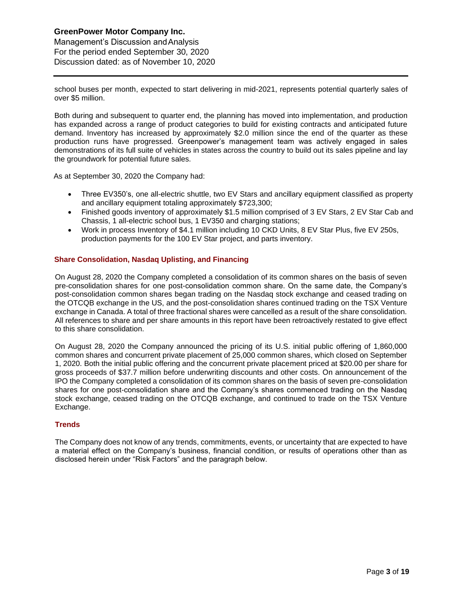, 2020

Management's Discussion andAnalysis For the period ended September 30, 2020 Discussion dated: as of November 10, 2020

school buses per month, expected to start delivering in mid-2021, represents potential quarterly sales of over \$5 million.

Both during and subsequent to quarter end, the planning has moved into implementation, and production has expanded across a range of product categories to build for existing contracts and anticipated future demand. Inventory has increased by approximately \$2.0 million since the end of the quarter as these production runs have progressed. Greenpower's management team was actively engaged in sales demonstrations of its full suite of vehicles in states across the country to build out its sales pipeline and lay the groundwork for potential future sales.

As at September 30, 2020 the Company had:

- Three EV350's, one all-electric shuttle, two EV Stars and ancillary equipment classified as property and ancillary equipment totaling approximately \$723,300;
- Finished goods inventory of approximately \$1.5 million comprised of 3 EV Stars, 2 EV Star Cab and Chassis, 1 all-electric school bus, 1 EV350 and charging stations;
- Work in process Inventory of \$4.1 million including 10 CKD Units, 8 EV Star Plus, five EV 250s, production payments for the 100 EV Star project, and parts inventory.

## **Share Consolidation, Nasdaq Uplisting, and Financing**

On August 28, 2020 the Company completed a consolidation of its common shares on the basis of seven pre-consolidation shares for one post-consolidation common share. On the same date, the Company's post-consolidation common shares began trading on the Nasdaq stock exchange and ceased trading on the OTCQB exchange in the US, and the post-consolidation shares continued trading on the TSX Venture exchange in Canada. A total of three fractional shares were cancelled as a result of the share consolidation. All references to share and per share amounts in this report have been retroactively restated to give effect to this share consolidation.

On August 28, 2020 the Company announced the pricing of its U.S. initial public offering of 1,860,000 common shares and concurrent private placement of 25,000 common shares, which closed on September 1, 2020. Both the initial public offering and the concurrent private placement priced at \$20.00 per share for gross proceeds of \$37.7 million before underwriting discounts and other costs. On announcement of the IPO the Company completed a consolidation of its common shares on the basis of seven pre-consolidation shares for one post-consolidation share and the Company's shares commenced trading on the Nasdaq stock exchange, ceased trading on the OTCQB exchange, and continued to trade on the TSX Venture Exchange.

### **Trends**

The Company does not know of any trends, commitments, events, or uncertainty that are expected to have a material effect on the Company's business, financial condition, or results of operations other than as disclosed herein under "Risk Factors" and the paragraph below.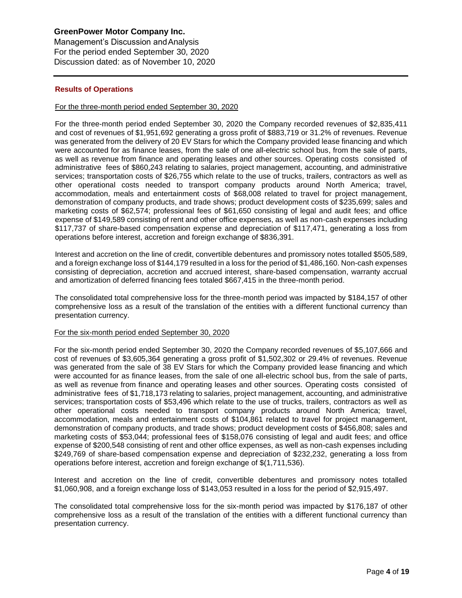Management's Discussion andAnalysis For the period ended September 30, 2020 Discussion dated: as of November 10, 2020

## **Results of Operations**

, 2020

### For the three-month period ended September 30, 2020

For the three-month period ended September 30, 2020 the Company recorded revenues of \$2,835,411 and cost of revenues of \$1,951,692 generating a gross profit of \$883,719 or 31.2% of revenues. Revenue was generated from the delivery of 20 EV Stars for which the Company provided lease financing and which were accounted for as finance leases, from the sale of one all-electric school bus, from the sale of parts, as well as revenue from finance and operating leases and other sources. Operating costs consisted of administrative fees of \$860,243 relating to salaries, project management, accounting, and administrative services; transportation costs of \$26,755 which relate to the use of trucks, trailers, contractors as well as other operational costs needed to transport company products around North America; travel, accommodation, meals and entertainment costs of \$68,008 related to travel for project management, demonstration of company products, and trade shows; product development costs of \$235,699; sales and marketing costs of \$62,574; professional fees of \$61,650 consisting of legal and audit fees; and office expense of \$149,589 consisting of rent and other office expenses, as well as non-cash expenses including \$117,737 of share-based compensation expense and depreciation of \$117,471, generating a loss from operations before interest, accretion and foreign exchange of \$836,391.

Interest and accretion on the line of credit, convertible debentures and promissory notes totalled \$505,589, and a foreign exchange loss of \$144,179 resulted in a loss for the period of \$1,486,160. Non-cash expenses consisting of depreciation, accretion and accrued interest, share-based compensation, warranty accrual and amortization of deferred financing fees totaled \$667,415 in the three-month period.

The consolidated total comprehensive loss for the three-month period was impacted by \$184,157 of other comprehensive loss as a result of the translation of the entities with a different functional currency than presentation currency.

### For the six-month period ended September 30, 2020

For the six-month period ended September 30, 2020 the Company recorded revenues of \$5,107,666 and cost of revenues of \$3,605,364 generating a gross profit of \$1,502,302 or 29.4% of revenues. Revenue was generated from the sale of 38 EV Stars for which the Company provided lease financing and which were accounted for as finance leases, from the sale of one all-electric school bus, from the sale of parts, as well as revenue from finance and operating leases and other sources. Operating costs consisted of administrative fees of \$1,718,173 relating to salaries, project management, accounting, and administrative services; transportation costs of \$53,496 which relate to the use of trucks, trailers, contractors as well as other operational costs needed to transport company products around North America; travel, accommodation, meals and entertainment costs of \$104,861 related to travel for project management, demonstration of company products, and trade shows; product development costs of \$456,808; sales and marketing costs of \$53,044; professional fees of \$158,076 consisting of legal and audit fees; and office expense of \$200,548 consisting of rent and other office expenses, as well as non-cash expenses including \$249,769 of share-based compensation expense and depreciation of \$232,232, generating a loss from operations before interest, accretion and foreign exchange of \$(1,711,536).

Interest and accretion on the line of credit, convertible debentures and promissory notes totalled \$1,060,908, and a foreign exchange loss of \$143,053 resulted in a loss for the period of \$2,915,497.

The consolidated total comprehensive loss for the six-month period was impacted by \$176,187 of other comprehensive loss as a result of the translation of the entities with a different functional currency than presentation currency.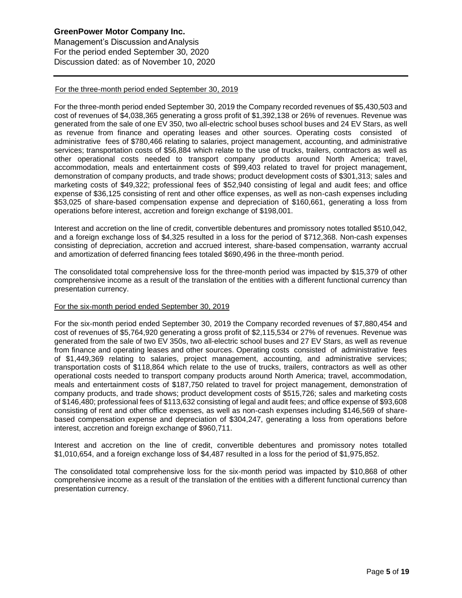, 2020

Management's Discussion andAnalysis For the period ended September 30, 2020 Discussion dated: as of November 10, 2020

## For the three-month period ended September 30, 2019

For the three-month period ended September 30, 2019 the Company recorded revenues of \$5,430,503 and cost of revenues of \$4,038,365 generating a gross profit of \$1,392,138 or 26% of revenues. Revenue was generated from the sale of one EV 350, two all-electric school buses school buses and 24 EV Stars, as well as revenue from finance and operating leases and other sources. Operating costs consisted of administrative fees of \$780,466 relating to salaries, project management, accounting, and administrative services; transportation costs of \$56,884 which relate to the use of trucks, trailers, contractors as well as other operational costs needed to transport company products around North America; travel, accommodation, meals and entertainment costs of \$99,403 related to travel for project management, demonstration of company products, and trade shows; product development costs of \$301,313; sales and marketing costs of \$49,322; professional fees of \$52,940 consisting of legal and audit fees; and office expense of \$36,125 consisting of rent and other office expenses, as well as non-cash expenses including \$53,025 of share-based compensation expense and depreciation of \$160,661, generating a loss from operations before interest, accretion and foreign exchange of \$198,001.

Interest and accretion on the line of credit, convertible debentures and promissory notes totalled \$510,042, and a foreign exchange loss of \$4,325 resulted in a loss for the period of \$712,368. Non-cash expenses consisting of depreciation, accretion and accrued interest, share-based compensation, warranty accrual and amortization of deferred financing fees totaled \$690,496 in the three-month period.

The consolidated total comprehensive loss for the three-month period was impacted by \$15,379 of other comprehensive income as a result of the translation of the entities with a different functional currency than presentation currency.

### For the six-month period ended September 30, 2019

For the six-month period ended September 30, 2019 the Company recorded revenues of \$7,880,454 and cost of revenues of \$5,764,920 generating a gross profit of \$2,115,534 or 27% of revenues. Revenue was generated from the sale of two EV 350s, two all-electric school buses and 27 EV Stars, as well as revenue from finance and operating leases and other sources. Operating costs consisted of administrative fees of \$1,449,369 relating to salaries, project management, accounting, and administrative services; transportation costs of \$118,864 which relate to the use of trucks, trailers, contractors as well as other operational costs needed to transport company products around North America; travel, accommodation, meals and entertainment costs of \$187,750 related to travel for project management, demonstration of company products, and trade shows; product development costs of \$515,726; sales and marketing costs of \$146,480; professional fees of \$113,632 consisting of legal and audit fees; and office expense of \$93,608 consisting of rent and other office expenses, as well as non-cash expenses including \$146,569 of sharebased compensation expense and depreciation of \$304,247, generating a loss from operations before interest, accretion and foreign exchange of \$960,711.

Interest and accretion on the line of credit, convertible debentures and promissory notes totalled \$1,010,654, and a foreign exchange loss of \$4,487 resulted in a loss for the period of \$1,975,852.

The consolidated total comprehensive loss for the six-month period was impacted by \$10,868 of other comprehensive income as a result of the translation of the entities with a different functional currency than presentation currency.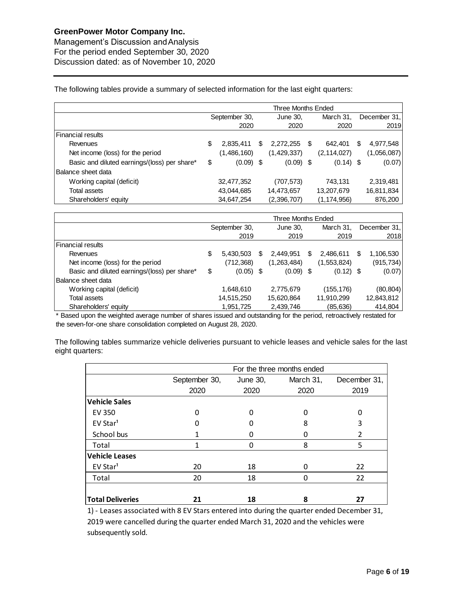, 2020

Management's Discussion andAnalysis For the period ended September 30, 2020 Discussion dated: as of November 10, 2020

The following tables provide a summary of selected information for the last eight quarters:

|                                              |                   | Three Months Ended |    |               |                 |  |
|----------------------------------------------|-------------------|--------------------|----|---------------|-----------------|--|
|                                              | September 30,     | June 30,           |    | March 31,     | December 31,    |  |
|                                              | 2020              | 2020               |    | 2020          | 2019            |  |
| Financial results                            |                   |                    |    |               |                 |  |
| Revenues                                     | \$<br>2,835,411   | \$<br>2,272,255    | -S | 642,401       | \$<br>4,977,548 |  |
| Net income (loss) for the period             | (1,486,160)       | (1,429,337)        |    | (2, 114, 027) | (1,056,087)     |  |
| Basic and diluted earnings/(loss) per share* | \$<br>$(0.09)$ \$ | $(0.09)$ \$        |    | $(0.14)$ \$   | (0.07)          |  |
| Balance sheet data                           |                   |                    |    |               |                 |  |
| Working capital (deficit)                    | 32,477,352        | (707, 573)         |    | 743,131       | 2,319,481       |  |
| Total assets                                 | 43,044,685        | 14,473,657         |    | 13,207,679    | 16,811,834      |  |
| Shareholders' equity                         | 34,647,254        | (2,396,707)        |    | (1, 174, 956) | 876,200         |  |

|                                              | Three Months Ended |             |    |               |   |             |   |              |  |
|----------------------------------------------|--------------------|-------------|----|---------------|---|-------------|---|--------------|--|
|                                              | September 30,      |             |    | June 30,      |   | March 31,   |   | December 31, |  |
|                                              |                    | 2019        |    | 2019          |   | 2019        |   | 2018         |  |
| Financial results                            |                    |             |    |               |   |             |   |              |  |
| Revenues                                     | \$                 | 5,430,503   | \$ | 2.449.951     | S | 2,486,611   | S | 1,106,530    |  |
| Net income (loss) for the period             |                    | (712, 368)  |    | (1, 263, 484) |   | (1,553,824) |   | (915,734)    |  |
| Basic and diluted earnings/(loss) per share* | S                  | $(0.05)$ \$ |    | $(0.09)$ \$   |   | $(0.12)$ \$ |   | (0.07)       |  |
| Balance sheet data                           |                    |             |    |               |   |             |   |              |  |
| Working capital (deficit)                    |                    | 1,648,610   |    | 2,775,679     |   | (155, 176)  |   | (80, 804)    |  |
| Total assets                                 |                    | 14,515,250  |    | 15,620,864    |   | 11,910,299  |   | 12,843,812   |  |
| Shareholders' equity                         |                    | 1,951,725   |    | 2,439,746     |   | (85, 636)   |   | 414,804      |  |

\* Based upon the weighted average number of shares issued and outstanding for the period, retroactively restated for the seven-for-one share consolidation completed on August 28, 2020.

The following tables summarize vehicle deliveries pursuant to vehicle leases and vehicle sales for the last eight quarters:

|                         |               |          | For the three months ended |               |
|-------------------------|---------------|----------|----------------------------|---------------|
|                         | September 30, | June 30, | March 31,                  | December 31,  |
|                         | 2020          | 2020     | 2020                       | 2019          |
| <b>Vehicle Sales</b>    |               |          |                            |               |
| <b>EV 350</b>           |               |          | n                          |               |
| EV Star <sup>1</sup>    |               |          | 8                          | 3             |
| School bus              |               |          | O                          | $\mathfrak z$ |
| Total                   | 1             |          | 8                          | 5             |
| <b>Vehicle Leases</b>   |               |          |                            |               |
| EV Star <sup>1</sup>    | 20            | 18       | 0                          | 22            |
| Total                   | 20            | 18       | 0                          | 22            |
|                         |               |          |                            |               |
| <b>Total Deliveries</b> | 21            | 18       | 8                          | 27            |

1) - Leases associated with 8 EV Stars entered into during the quarter ended December 31, 2019 were cancelled during the quarter ended March 31, 2020 and the vehicles were subsequently sold.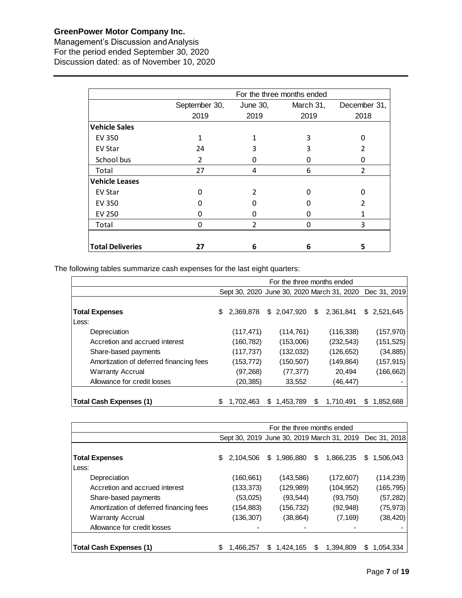, 2020

Management's Discussion andAnalysis For the period ended September 30, 2020 Discussion dated: as of November 10, 2020

|                         |               |                | For the three months ended |                |
|-------------------------|---------------|----------------|----------------------------|----------------|
|                         | September 30, | June 30,       | March 31,                  | December 31,   |
|                         | 2019          | 2019           | 2019                       | 2018           |
| <b>Vehicle Sales</b>    |               |                |                            |                |
| EV 350                  | 1             |                | 3                          | ი              |
| <b>EV Star</b>          | 24            | 3              | 3                          | 2              |
| School bus              | $\mathcal{P}$ | 0              | O                          | O              |
| Total                   | 27            | 4              | 6                          | $\overline{2}$ |
| <b>Vehicle Leases</b>   |               |                |                            |                |
| EV Star                 | O             | $\mathfrak{p}$ |                            | O              |
| EV 350                  |               |                |                            | 2              |
| <b>EV 250</b>           |               | O              | 0                          | 1              |
| Total                   | O             | $\mathcal{P}$  | $\Omega$                   | 3              |
|                         |               |                |                            |                |
| <b>Total Deliveries</b> | 27            | 6              | 6                          | 5              |

The following tables summarize cash expenses for the last eight quarters:

|                                         | For the three months ended |            |   |              |    |                                                         |   |             |  |
|-----------------------------------------|----------------------------|------------|---|--------------|----|---------------------------------------------------------|---|-------------|--|
|                                         |                            |            |   |              |    | Sept 30, 2020 June 30, 2020 March 31, 2020 Dec 31, 2019 |   |             |  |
|                                         |                            |            |   |              |    |                                                         |   |             |  |
| <b>Total Expenses</b>                   | \$                         | 2.369.878  |   | \$ 2,047,920 | \$ | 2.361.841                                               |   | \$2,521,645 |  |
| Less:                                   |                            |            |   |              |    |                                                         |   |             |  |
| Depreciation                            |                            | (117, 471) |   | (114, 761)   |    | (116, 338)                                              |   | (157, 970)  |  |
| Accretion and accrued interest          |                            | (160,782)  |   | (153,006)    |    | (232, 543)                                              |   | (151, 525)  |  |
| Share-based payments                    |                            | (117, 737) |   | (132, 032)   |    | (126, 652)                                              |   | (34, 885)   |  |
| Amortization of deferred financing fees |                            | (153,772)  |   | (150,507)    |    | (149,864)                                               |   | (157, 915)  |  |
| <b>Warranty Accrual</b>                 |                            | (97,268)   |   | (77, 377)    |    | 20.494                                                  |   | (166, 662)  |  |
| Allowance for credit losses             |                            | (20,385)   |   | 33,552       |    | (46,447)                                                |   |             |  |
|                                         |                            |            |   |              |    |                                                         |   |             |  |
| Total Cash Expenses (1)                 | S                          | 1,702,463  | S | 1,453,789    | S  | 1,710,491                                               | S | 1,852,688   |  |

|                                         | For the three months ended |           |    |             |   |                                                         |     |            |  |
|-----------------------------------------|----------------------------|-----------|----|-------------|---|---------------------------------------------------------|-----|------------|--|
|                                         |                            |           |    |             |   | Sept 30, 2019 June 30, 2019 March 31, 2019 Dec 31, 2018 |     |            |  |
|                                         |                            |           |    |             |   |                                                         |     |            |  |
| <b>Total Expenses</b>                   | \$                         | 2,104,506 |    | \$1,986,880 | S | 1,866,235                                               | \$. | 1.506.043  |  |
| Less:                                   |                            |           |    |             |   |                                                         |     |            |  |
| Depreciation                            |                            | (160,661) |    | (143, 586)  |   | (172,607)                                               |     | (114, 239) |  |
| Accretion and accrued interest          |                            | (133,373) |    | (129,989)   |   | (104,952)                                               |     | (165, 795) |  |
| Share-based payments                    |                            | (53,025)  |    | (93, 544)   |   | (93,750)                                                |     | (57, 282)  |  |
| Amortization of deferred financing fees |                            | (154,883) |    | (156,732)   |   | (92,948)                                                |     | (75, 973)  |  |
| <b>Warranty Accrual</b>                 |                            | (136,307) |    | (38, 864)   |   | (7, 169)                                                |     | (38, 420)  |  |
| Allowance for credit losses             |                            |           |    |             |   |                                                         |     |            |  |
|                                         |                            |           |    |             |   |                                                         |     |            |  |
| <b>Total Cash Expenses (1)</b>          | \$                         | 1.466.257 | S. | 1.424.165   | S | 1.394.809                                               | S   | 1.054.334  |  |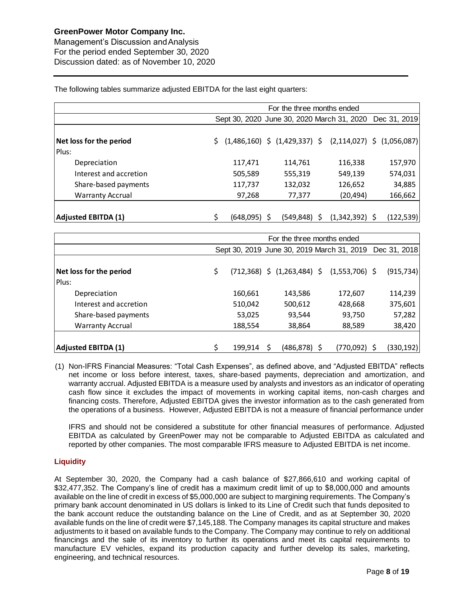, 2020

Management's Discussion andAnalysis For the period ended September 30, 2020 Discussion dated: as of November 10, 2020

The following tables summarize adjusted EBITDA for the last eight quarters:

|                            |           | For the three months ended                                       |                  |            |
|----------------------------|-----------|------------------------------------------------------------------|------------------|------------|
|                            |           | Sept 30, 2020 June 30, 2020 March 31, 2020 Dec 31, 2019          |                  |            |
|                            |           |                                                                  |                  |            |
| Net loss for the period    |           | $(1,486,160)$ \$ $(1,429,337)$ \$ $(2,114,027)$ \$ $(1,056,087)$ |                  |            |
| Plus:                      |           |                                                                  |                  |            |
| Depreciation               | 117,471   | 114,761                                                          | 116,338          | 157,970    |
| Interest and accretion     | 505,589   | 555,319                                                          | 549,139          | 574,031    |
| Share-based payments       | 117,737   | 132,032                                                          | 126,652          | 34,885     |
| <b>Warranty Accrual</b>    | 97,268    | 77,377                                                           | (20, 494)        | 166,662    |
|                            |           |                                                                  |                  |            |
| <b>Adjusted EBITDA (1)</b> | (648,095) | (549, 848)                                                       | $(1,342,392)$ \$ | (122, 539) |

|                            | For the three months ended |                                                         |           |            |  |  |  |  |  |  |
|----------------------------|----------------------------|---------------------------------------------------------|-----------|------------|--|--|--|--|--|--|
|                            |                            | Sept 30, 2019 June 30, 2019 March 31, 2019 Dec 31, 2018 |           |            |  |  |  |  |  |  |
| Net loss for the period    | \$                         | $(712,368)$ \$ $(1,263,484)$ \$ $(1,553,706)$ \$        |           | (915, 734) |  |  |  |  |  |  |
| Plus:                      |                            |                                                         |           |            |  |  |  |  |  |  |
| Depreciation               | 160,661                    | 143,586                                                 | 172,607   | 114,239    |  |  |  |  |  |  |
| Interest and accretion     | 510,042                    | 500,612                                                 | 428,668   | 375,601    |  |  |  |  |  |  |
| Share-based payments       | 53,025                     | 93,544                                                  | 93,750    | 57,282     |  |  |  |  |  |  |
| <b>Warranty Accrual</b>    | 188,554                    | 38,864                                                  | 88,589    | 38,420     |  |  |  |  |  |  |
|                            |                            |                                                         |           |            |  |  |  |  |  |  |
| <b>Adjusted EBITDA (1)</b> | 199.914                    | $(486, 878)$ \$<br>S                                    | (770,092) | (330, 192) |  |  |  |  |  |  |

(1) Non-IFRS Financial Measures: "Total Cash Expenses", as defined above, and "Adjusted EBITDA" reflects net income or loss before interest, taxes, share-based payments, depreciation and amortization, and warranty accrual. Adjusted EBITDA is a measure used by analysts and investors as an indicator of operating cash flow since it excludes the impact of movements in working capital items, non-cash charges and financing costs. Therefore, Adjusted EBITDA gives the investor information as to the cash generated from the operations of a business. However, Adjusted EBITDA is not a measure of financial performance under

IFRS and should not be considered a substitute for other financial measures of performance. Adjusted EBITDA as calculated by GreenPower may not be comparable to Adjusted EBITDA as calculated and reported by other companies. The most comparable IFRS measure to Adjusted EBITDA is net income.

## **Liquidity**

At September 30, 2020, the Company had a cash balance of \$27,866,610 and working capital of \$32,477,352. The Company's line of credit has a maximum credit limit of up to \$8,000,000 and amounts available on the line of credit in excess of \$5,000,000 are subject to margining requirements. The Company's primary bank account denominated in US dollars is linked to its Line of Credit such that funds deposited to the bank account reduce the outstanding balance on the Line of Credit, and as at September 30, 2020 available funds on the line of credit were \$7,145,188. The Company manages its capital structure and makes adjustments to it based on available funds to the Company. The Company may continue to rely on additional financings and the sale of its inventory to further its operations and meet its capital requirements to manufacture EV vehicles, expand its production capacity and further develop its sales, marketing, engineering, and technical resources.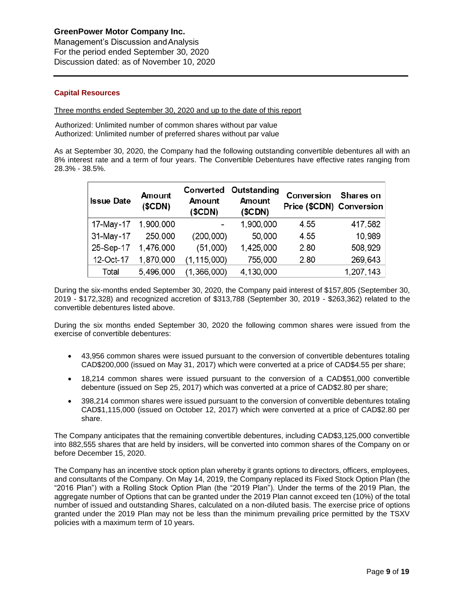Management's Discussion andAnalysis For the period ended September 30, 2020 Discussion dated: as of November 10, 2020

## **Capital Resources**

, 2020

Three months ended September 30, 2020 and up to the date of this report

Authorized: Unlimited number of common shares without par value Authorized: Unlimited number of preferred shares without par value

As at September 30, 2020, the Company had the following outstanding convertible debentures all with an 8% interest rate and a term of four years. The Convertible Debentures have effective rates ranging from 28.3% - 38.5%.

| <b>Issue Date</b> | <b>Amount</b><br>(SCDN) | Converted<br>Amount<br>(SCDN) | Outstanding<br>Amount<br>(SCDN) | Conversion<br>Price (\$CDN) Conversion | Shares on |
|-------------------|-------------------------|-------------------------------|---------------------------------|----------------------------------------|-----------|
| 17-May-17         | 1,900,000               |                               | 1,900,000                       | 4.55                                   | 417,582   |
| 31-May-17         | 250,000                 | (200, 000)                    | 50,000                          | 4.55                                   | 10,989    |
| 25-Sep-17         | 1,476,000               | (51,000)                      | 1,425,000                       | 2.80                                   | 508,929   |
| 12-Oct-17         | 1,870,000               | (1, 115, 000)                 | 755,000                         | 2.80                                   | 269,643   |
| Total             | 5,496,000               | (1,366,000)                   | 4,130,000                       |                                        | 1,207,143 |

During the six-months ended September 30, 2020, the Company paid interest of \$157,805 (September 30, 2019 - \$172,328) and recognized accretion of \$313,788 (September 30, 2019 - \$263,362) related to the convertible debentures listed above.

During the six months ended September 30, 2020 the following common shares were issued from the exercise of convertible debentures:

- 43,956 common shares were issued pursuant to the conversion of convertible debentures totaling CAD\$200,000 (issued on May 31, 2017) which were converted at a price of CAD\$4.55 per share;
- 18,214 common shares were issued pursuant to the conversion of a CAD\$51,000 convertible debenture (issued on Sep 25, 2017) which was converted at a price of CAD\$2.80 per share;
- 398,214 common shares were issued pursuant to the conversion of convertible debentures totaling CAD\$1,115,000 (issued on October 12, 2017) which were converted at a price of CAD\$2.80 per share.

The Company anticipates that the remaining convertible debentures, including CAD\$3,125,000 convertible into 882,555 shares that are held by insiders, will be converted into common shares of the Company on or before December 15, 2020.

The Company has an incentive stock option plan whereby it grants options to directors, officers, employees, and consultants of the Company. On May 14, 2019, the Company replaced its Fixed Stock Option Plan (the "2016 Plan") with a Rolling Stock Option Plan (the "2019 Plan"). Under the terms of the 2019 Plan, the aggregate number of Options that can be granted under the 2019 Plan cannot exceed ten (10%) of the total number of issued and outstanding Shares, calculated on a non-diluted basis. The exercise price of options granted under the 2019 Plan may not be less than the minimum prevailing price permitted by the TSXV policies with a maximum term of 10 years.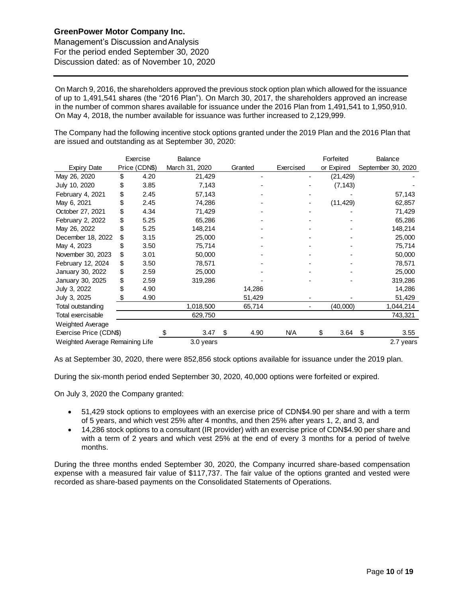, 2020

Management's Discussion andAnalysis For the period ended September 30, 2020 Discussion dated: as of November 10, 2020

On March 9, 2016, the shareholders approved the previous stock option plan which allowed for the issuance of up to 1,491,541 shares (the "2016 Plan"). On March 30, 2017, the shareholders approved an increase in the number of common shares available for issuance under the 2016 Plan from 1,491,541 to 1,950,910. On May 4, 2018, the number available for issuance was further increased to 2,129,999.

The Company had the following incentive stock options granted under the 2019 Plan and the 2016 Plan that are issued and outstanding as at September 30, 2020:

|                                 |    | Exercise      | Balance        |            |           | Forfeited  |     | <b>Balance</b>     |
|---------------------------------|----|---------------|----------------|------------|-----------|------------|-----|--------------------|
| <b>Expiry Date</b>              |    | Price (CDN\$) | March 31, 2020 | Granted    | Exercised | or Expired |     | September 30, 2020 |
| May 26, 2020                    | \$ | 4.20          | 21,429         | ۰          |           | (21,429)   |     |                    |
| July 10, 2020                   |    | 3.85          | 7,143          |            |           | (7, 143)   |     |                    |
| February 4, 2021                |    | 2.45          | 57,143         |            |           |            |     | 57,143             |
| May 6, 2021                     |    | 2.45          | 74,286         |            |           | (11, 429)  |     | 62,857             |
| October 27, 2021                |    | 4.34          | 71,429         |            |           |            |     | 71,429             |
| February 2, 2022                |    | 5.25          | 65,286         |            |           |            |     | 65,286             |
| May 26, 2022                    |    | 5.25          | 148,214        |            |           |            |     | 148,214            |
| December 18, 2022               | \$ | 3.15          | 25,000         |            |           |            |     | 25,000             |
| May 4, 2023                     |    | 3.50          | 75,714         |            |           |            |     | 75,714             |
| November 30, 2023               | \$ | 3.01          | 50,000         |            |           |            |     | 50,000             |
| February 12, 2024               | \$ | 3.50          | 78,571         |            |           |            |     | 78,571             |
| January 30, 2022                | \$ | 2.59          | 25,000         |            |           |            |     | 25,000             |
| January 30, 2025                | \$ | 2.59          | 319,286        |            |           |            |     | 319,286            |
| July 3, 2022                    |    | 4.90          |                | 14,286     |           |            |     | 14,286             |
| July 3, 2025                    | S  | 4.90          |                | 51,429     |           |            |     | 51,429             |
| Total outstanding               |    |               | 1,018,500      | 65,714     |           | (40,000)   |     | 1,044,214          |
| Total exercisable               |    |               | 629,750        |            |           |            |     | 743,321            |
| Weighted Average                |    |               |                |            |           |            |     |                    |
| Exercise Price (CDN\$)          |    |               | 3.47<br>\$     | \$<br>4.90 | N/A       | \$<br>3.64 | -\$ | 3.55               |
| Weighted Average Remaining Life |    |               | 3.0 years      |            |           |            |     | 2.7 years          |

As at September 30, 2020, there were 852,856 stock options available for issuance under the 2019 plan.

During the six-month period ended September 30, 2020, 40,000 options were forfeited or expired.

On July 3, 2020 the Company granted:

- 51,429 stock options to employees with an exercise price of CDN\$4.90 per share and with a term of 5 years, and which vest 25% after 4 months, and then 25% after years 1, 2, and 3, and
- 14,286 stock options to a consultant (IR provider) with an exercise price of CDN\$4.90 per share and with a term of 2 years and which vest 25% at the end of every 3 months for a period of twelve months.

During the three months ended September 30, 2020, the Company incurred share-based compensation expense with a measured fair value of \$117,737. The fair value of the options granted and vested were recorded as share-based payments on the Consolidated Statements of Operations.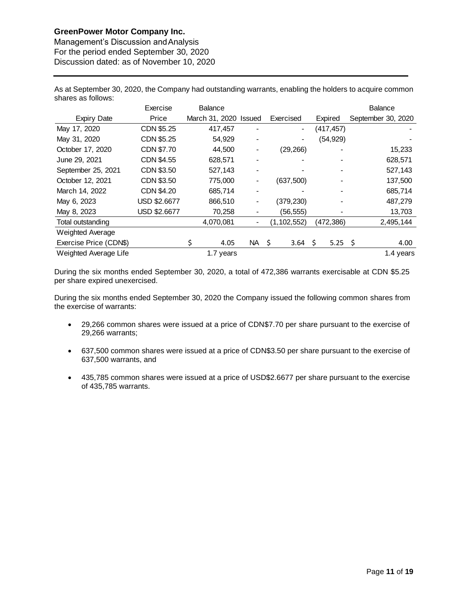, 2020

Management's Discussion andAnalysis For the period ended September 30, 2020 Discussion dated: as of November 10, 2020

As at September 30, 2020, the Company had outstanding warrants, enabling the holders to acquire common shares as follows:

|                        | Exercise     | Balance        |           |               |     |           | <b>Balance</b>     |           |
|------------------------|--------------|----------------|-----------|---------------|-----|-----------|--------------------|-----------|
| <b>Expiry Date</b>     | Price        | March 31, 2020 | Issued    | Exercised     |     | Expired   | September 30, 2020 |           |
| May 17, 2020           | CDN \$5.25   | 417,457        |           | -             |     | (417,457) |                    |           |
| May 31, 2020           | CDN \$5.25   | 54,929         |           | -             |     | (54, 929) |                    |           |
| October 17, 2020       | CDN \$7.70   | 44.500         |           | (29, 266)     |     |           |                    | 15,233    |
| June 29, 2021          | CDN \$4.55   | 628,571        |           |               |     |           |                    | 628,571   |
| September 25, 2021     | CDN \$3.50   | 527,143        |           |               |     |           |                    | 527,143   |
| October 12, 2021       | CDN \$3.50   | 775,000        |           | (637,500)     |     |           |                    | 137,500   |
| March 14, 2022         | CDN \$4.20   | 685,714        |           |               |     |           |                    | 685,714   |
| May 6, 2023            | USD \$2.6677 | 866,510        |           | (379,230)     |     |           | 487,279            |           |
| May 8, 2023            | USD \$2.6677 | 70,258         |           | (56, 555)     |     |           |                    | 13,703    |
| Total outstanding      |              | 4,070,081      |           | (1, 102, 552) |     | (472,386) | 2,495,144          |           |
| Weighted Average       |              |                |           |               |     |           |                    |           |
| Exercise Price (CDN\$) |              | \$<br>4.05     | <b>NA</b> | \$<br>3.64    | \$. | 5.25 \$   |                    | 4.00      |
| Weighted Average Life  |              | 1.7 years      |           |               |     |           |                    | 1.4 years |

During the six months ended September 30, 2020, a total of 472,386 warrants exercisable at CDN \$5.25 per share expired unexercised.

During the six months ended September 30, 2020 the Company issued the following common shares from the exercise of warrants:

- 29,266 common shares were issued at a price of CDN\$7.70 per share pursuant to the exercise of 29,266 warrants;
- 637,500 common shares were issued at a price of CDN\$3.50 per share pursuant to the exercise of 637,500 warrants, and
- 435,785 common shares were issued at a price of USD\$2.6677 per share pursuant to the exercise of 435,785 warrants.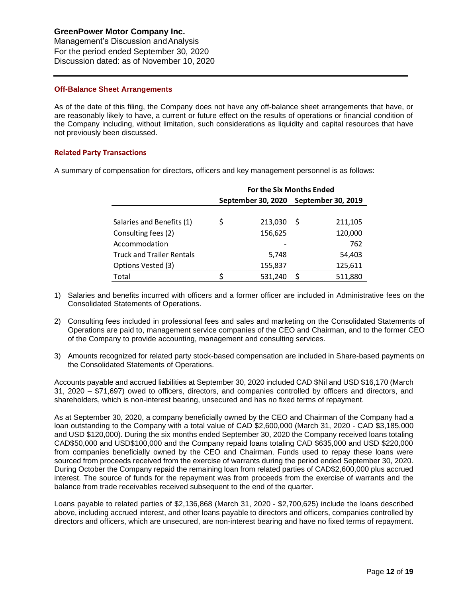Management's Discussion andAnalysis For the period ended September 30, 2020 Discussion dated: as of November 10, 2020

### **Off-Balance Sheet Arrangements**

As of the date of this filing, the Company does not have any off-balance sheet arrangements that have, or are reasonably likely to have, a current or future effect on the results of operations or financial condition of the Company including, without limitation, such considerations as liquidity and capital resources that have not previously been discussed.

## **Related Party Transactions**

A summary of compensation for directors, officers and key management personnel is as follows:

|                                  | <b>For the Six Months Ended</b> |         |                                       |         |  |  |  |  |  |
|----------------------------------|---------------------------------|---------|---------------------------------------|---------|--|--|--|--|--|
|                                  |                                 |         | September 30, 2020 September 30, 2019 |         |  |  |  |  |  |
|                                  |                                 |         |                                       |         |  |  |  |  |  |
| Salaries and Benefits (1)        | \$                              | 213,030 | S                                     | 211,105 |  |  |  |  |  |
| Consulting fees (2)              |                                 | 156,625 |                                       | 120,000 |  |  |  |  |  |
| Accommodation                    |                                 |         |                                       | 762     |  |  |  |  |  |
| <b>Truck and Trailer Rentals</b> |                                 | 5,748   |                                       | 54,403  |  |  |  |  |  |
| Options Vested (3)               |                                 | 155,837 |                                       | 125,611 |  |  |  |  |  |
| Total                            |                                 | 531,240 | S                                     | 511,880 |  |  |  |  |  |

- 1) Salaries and benefits incurred with officers and a former officer are included in Administrative fees on the Consolidated Statements of Operations.
- 2) Consulting fees included in professional fees and sales and marketing on the Consolidated Statements of Operations are paid to, management service companies of the CEO and Chairman, and to the former CEO of the Company to provide accounting, management and consulting services.
- 3) Amounts recognized for related party stock-based compensation are included in Share-based payments on the Consolidated Statements of Operations.

Accounts payable and accrued liabilities at September 30, 2020 included CAD \$Nil and USD \$16,170 (March 31, 2020 – \$71,697) owed to officers, directors, and companies controlled by officers and directors, and shareholders, which is non-interest bearing, unsecured and has no fixed terms of repayment.

As at September 30, 2020, a company beneficially owned by the CEO and Chairman of the Company had a loan outstanding to the Company with a total value of CAD \$2,600,000 (March 31, 2020 - CAD \$3,185,000 and USD \$120,000). During the six months ended September 30, 2020 the Company received loans totaling CAD\$50,000 and USD\$100,000 and the Company repaid loans totaling CAD \$635,000 and USD \$220,000 from companies beneficially owned by the CEO and Chairman. Funds used to repay these loans were sourced from proceeds received from the exercise of warrants during the period ended September 30, 2020. During October the Company repaid the remaining loan from related parties of CAD\$2,600,000 plus accrued interest. The source of funds for the repayment was from proceeds from the exercise of warrants and the balance from trade receivables received subsequent to the end of the quarter.

Loans payable to related parties of \$2,136,868 (March 31, 2020 - \$2,700,625) include the loans described above, including accrued interest, and other loans payable to directors and officers, companies controlled by directors and officers, which are unsecured, are non-interest bearing and have no fixed terms of repayment.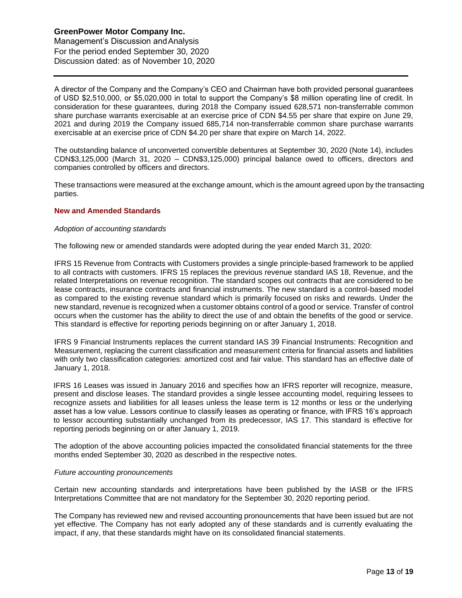Management's Discussion andAnalysis For the period ended September 30, 2020 Discussion dated: as of November 10, 2020

A director of the Company and the Company's CEO and Chairman have both provided personal guarantees of USD \$2,510,000, or \$5,020,000 in total to support the Company's \$8 million operating line of credit. In consideration for these guarantees, during 2018 the Company issued 628,571 non-transferrable common share purchase warrants exercisable at an exercise price of CDN \$4.55 per share that expire on June 29, 2021 and during 2019 the Company issued 685,714 non-transferrable common share purchase warrants exercisable at an exercise price of CDN \$4.20 per share that expire on March 14, 2022.

The outstanding balance of unconverted convertible debentures at September 30, 2020 (Note 14), includes CDN\$3,125,000 (March 31, 2020 – CDN\$3,125,000) principal balance owed to officers, directors and companies controlled by officers and directors.

These transactions were measured at the exchange amount, which is the amount agreed upon by the transacting parties.

### **New and Amended Standards**

#### *Adoption of accounting standards*

The following new or amended standards were adopted during the year ended March 31, 2020:

IFRS 15 Revenue from Contracts with Customers provides a single principle-based framework to be applied to all contracts with customers. IFRS 15 replaces the previous revenue standard IAS 18, Revenue, and the related Interpretations on revenue recognition. The standard scopes out contracts that are considered to be lease contracts, insurance contracts and financial instruments. The new standard is a control-based model as compared to the existing revenue standard which is primarily focused on risks and rewards. Under the new standard, revenue is recognized when a customer obtains control of a good or service. Transfer of control occurs when the customer has the ability to direct the use of and obtain the benefits of the good or service. This standard is effective for reporting periods beginning on or after January 1, 2018.

IFRS 9 Financial Instruments replaces the current standard IAS 39 Financial Instruments: Recognition and Measurement, replacing the current classification and measurement criteria for financial assets and liabilities with only two classification categories: amortized cost and fair value. This standard has an effective date of January 1, 2018.

IFRS 16 Leases was issued in January 2016 and specifies how an IFRS reporter will recognize, measure, present and disclose leases. The standard provides a single lessee accounting model, requiring lessees to recognize assets and liabilities for all leases unless the lease term is 12 months or less or the underlying asset has a low value. Lessors continue to classify leases as operating or finance, with IFRS 16's approach to lessor accounting substantially unchanged from its predecessor, IAS 17. This standard is effective for reporting periods beginning on or after January 1, 2019.

The adoption of the above accounting policies impacted the consolidated financial statements for the three months ended September 30, 2020 as described in the respective notes.

#### *Future accounting pronouncements*

Certain new accounting standards and interpretations have been published by the IASB or the IFRS Interpretations Committee that are not mandatory for the September 30, 2020 reporting period.

The Company has reviewed new and revised accounting pronouncements that have been issued but are not yet effective. The Company has not early adopted any of these standards and is currently evaluating the impact, if any, that these standards might have on its consolidated financial statements.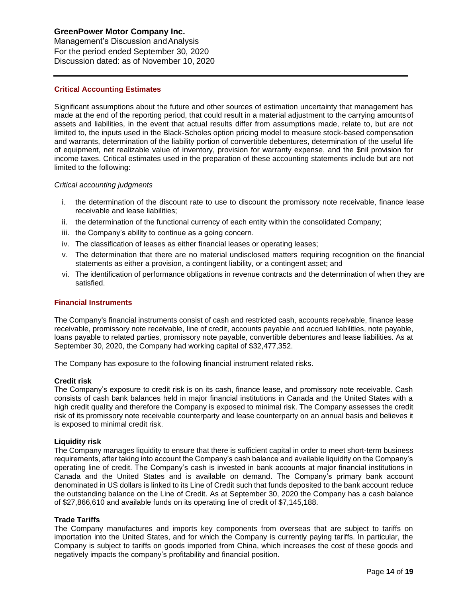Management's Discussion andAnalysis For the period ended September 30, 2020 Discussion dated: as of November 10, 2020

## **Critical Accounting Estimates**

Significant assumptions about the future and other sources of estimation uncertainty that management has made at the end of the reporting period, that could result in a material adjustment to the carrying amounts of assets and liabilities, in the event that actual results differ from assumptions made, relate to, but are not limited to, the inputs used in the Black-Scholes option pricing model to measure stock-based compensation and warrants, determination of the liability portion of convertible debentures, determination of the useful life of equipment, net realizable value of inventory, provision for warranty expense, and the \$nil provision for income taxes. Critical estimates used in the preparation of these accounting statements include but are not limited to the following:

### *Critical accounting judgments*

- i. the determination of the discount rate to use to discount the promissory note receivable, finance lease receivable and lease liabilities;
- ii. the determination of the functional currency of each entity within the consolidated Company;
- iii. the Company's ability to continue as a going concern.
- iv. The classification of leases as either financial leases or operating leases;
- v. The determination that there are no material undisclosed matters requiring recognition on the financial statements as either a provision, a contingent liability, or a contingent asset; and
- vi. The identification of performance obligations in revenue contracts and the determination of when they are satisfied.

#### **Financial Instruments**

The Company's financial instruments consist of cash and restricted cash, accounts receivable, finance lease receivable, promissory note receivable, line of credit, accounts payable and accrued liabilities, note payable, loans payable to related parties, promissory note payable, convertible debentures and lease liabilities. As at September 30, 2020, the Company had working capital of \$32,477,352.

The Company has exposure to the following financial instrument related risks.

#### **Credit risk**

The Company's exposure to credit risk is on its cash, finance lease, and promissory note receivable. Cash consists of cash bank balances held in major financial institutions in Canada and the United States with a high credit quality and therefore the Company is exposed to minimal risk. The Company assesses the credit risk of its promissory note receivable counterparty and lease counterparty on an annual basis and believes it is exposed to minimal credit risk.

### **Liquidity risk**

The Company manages liquidity to ensure that there is sufficient capital in order to meet short-term business requirements, after taking into account the Company's cash balance and available liquidity on the Company's operating line of credit. The Company's cash is invested in bank accounts at major financial institutions in Canada and the United States and is available on demand. The Company's primary bank account denominated in US dollars is linked to its Line of Credit such that funds deposited to the bank account reduce the outstanding balance on the Line of Credit. As at September 30, 2020 the Company has a cash balance of \$27,866,610 and available funds on its operating line of credit of \$7,145,188.

### **Trade Tariffs**

The Company manufactures and imports key components from overseas that are subject to tariffs on importation into the United States, and for which the Company is currently paying tariffs. In particular, the Company is subject to tariffs on goods imported from China, which increases the cost of these goods and negatively impacts the company's profitability and financial position.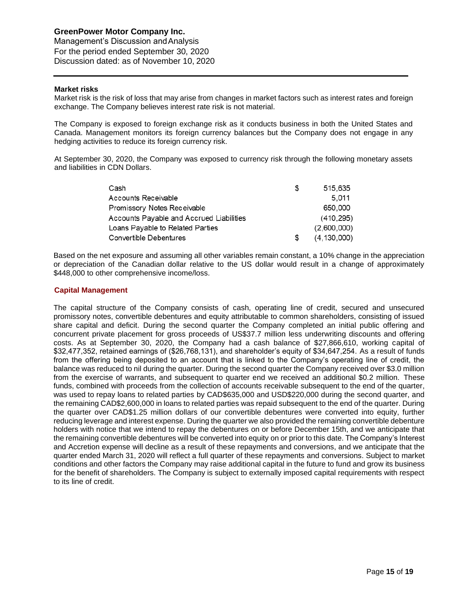Management's Discussion andAnalysis For the period ended September 30, 2020 Discussion dated: as of November 10, 2020

#### **Market risks**

Market risk is the risk of loss that may arise from changes in market factors such as interest rates and foreign exchange. The Company believes interest rate risk is not material.

The Company is exposed to foreign exchange risk as it conducts business in both the United States and Canada. Management monitors its foreign currency balances but the Company does not engage in any hedging activities to reduce its foreign currency risk.

At September 30, 2020, the Company was exposed to currency risk through the following monetary assets and liabilities in CDN Dollars.

| Cash                                     | S  | 515,635       |
|------------------------------------------|----|---------------|
| Accounts Receivable                      |    | 5.011         |
| Promissory Notes Receivable              |    | 650,000       |
| Accounts Payable and Accrued Liabilities |    | (410, 295)    |
| Loans Payable to Related Parties         |    | (2,600,000)   |
| Convertible Debentures                   | S. | (4, 130, 000) |

Based on the net exposure and assuming all other variables remain constant, a 10% change in the appreciation or depreciation of the Canadian dollar relative to the US dollar would result in a change of approximately \$448,000 to other comprehensive income/loss.

### **Capital Management**

The capital structure of the Company consists of cash, operating line of credit, secured and unsecured promissory notes, convertible debentures and equity attributable to common shareholders, consisting of issued share capital and deficit. During the second quarter the Company completed an initial public offering and concurrent private placement for gross proceeds of US\$37.7 million less underwriting discounts and offering costs. As at September 30, 2020, the Company had a cash balance of \$27,866,610, working capital of \$32,477,352, retained earnings of (\$26,768,131), and shareholder's equity of \$34,647,254. As a result of funds from the offering being deposited to an account that is linked to the Company's operating line of credit, the balance was reduced to nil during the quarter. During the second quarter the Company received over \$3.0 million from the exercise of warrants, and subsequent to quarter end we received an additional \$0.2 million. These funds, combined with proceeds from the collection of accounts receivable subsequent to the end of the quarter, was used to repay loans to related parties by CAD\$635,000 and USD\$220,000 during the second quarter, and the remaining CAD\$2,600,000 in loans to related parties was repaid subsequent to the end of the quarter. During the quarter over CAD\$1.25 million dollars of our convertible debentures were converted into equity, further reducing leverage and interest expense. During the quarter we also provided the remaining convertible debenture holders with notice that we intend to repay the debentures on or before December 15th, and we anticipate that the remaining convertible debentures will be converted into equity on or prior to this date. The Company's Interest and Accretion expense will decline as a result of these repayments and conversions, and we anticipate that the quarter ended March 31, 2020 will reflect a full quarter of these repayments and conversions. Subject to market conditions and other factors the Company may raise additional capital in the future to fund and grow its business for the benefit of shareholders. The Company is subject to externally imposed capital requirements with respect to its line of credit.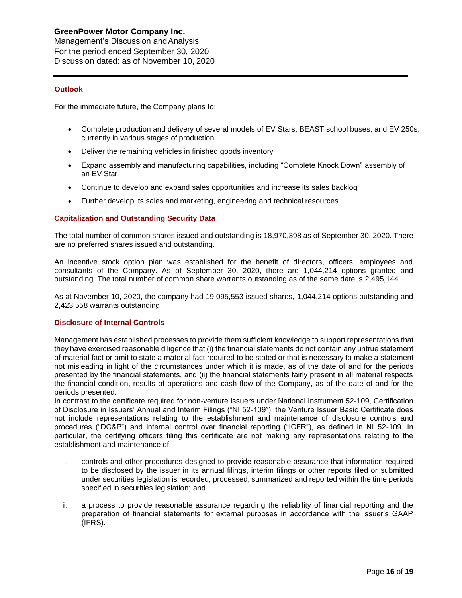Management's Discussion andAnalysis For the period ended September 30, 2020 Discussion dated: as of November 10, 2020

## **Outlook**

For the immediate future, the Company plans to:

- Complete production and delivery of several models of EV Stars, BEAST school buses, and EV 250s, currently in various stages of production
- Deliver the remaining vehicles in finished goods inventory
- Expand assembly and manufacturing capabilities, including "Complete Knock Down" assembly of an EV Star
- Continue to develop and expand sales opportunities and increase its sales backlog
- Further develop its sales and marketing, engineering and technical resources

## **Capitalization and Outstanding Security Data**

The total number of common shares issued and outstanding is 18,970,398 as of September 30, 2020. There are no preferred shares issued and outstanding.

An incentive stock option plan was established for the benefit of directors, officers, employees and consultants of the Company. As of September 30, 2020, there are 1,044,214 options granted and outstanding. The total number of common share warrants outstanding as of the same date is 2,495,144.

As at November 10, 2020, the company had 19,095,553 issued shares, 1,044,214 options outstanding and 2,423,558 warrants outstanding.

### **Disclosure of Internal Controls**

Management has established processes to provide them sufficient knowledge to support representations that they have exercised reasonable diligence that (i) the financial statements do not contain any untrue statement of material fact or omit to state a material fact required to be stated or that is necessary to make a statement not misleading in light of the circumstances under which it is made, as of the date of and for the periods presented by the financial statements, and (ii) the financial statements fairly present in all material respects the financial condition, results of operations and cash flow of the Company, as of the date of and for the periods presented.

In contrast to the certificate required for non-venture issuers under National Instrument 52-109, Certification of Disclosure in Issuers' Annual and Interim Filings ("NI 52-109"), the Venture Issuer Basic Certificate does not include representations relating to the establishment and maintenance of disclosure controls and procedures ("DC&P") and internal control over financial reporting ("ICFR"), as defined in NI 52-109. In particular, the certifying officers filing this certificate are not making any representations relating to the establishment and maintenance of:

- i. controls and other procedures designed to provide reasonable assurance that information required to be disclosed by the issuer in its annual filings, interim filings or other reports filed or submitted under securities legislation is recorded, processed, summarized and reported within the time periods specified in securities legislation; and
- ii. a process to provide reasonable assurance regarding the reliability of financial reporting and the preparation of financial statements for external purposes in accordance with the issuer's GAAP (IFRS).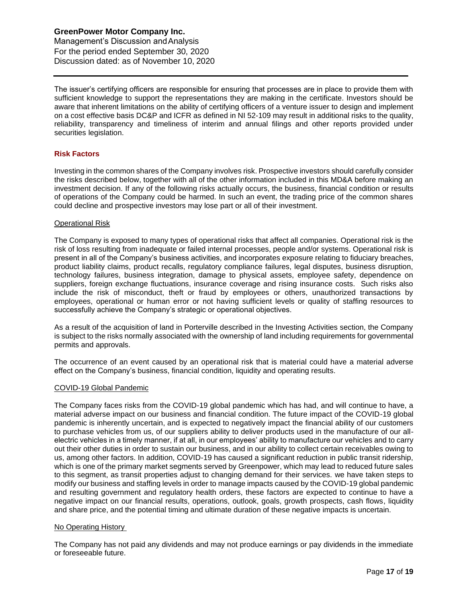Management's Discussion andAnalysis For the period ended September 30, 2020 Discussion dated: as of November 10, 2020

The issuer's certifying officers are responsible for ensuring that processes are in place to provide them with sufficient knowledge to support the representations they are making in the certificate. Investors should be aware that inherent limitations on the ability of certifying officers of a venture issuer to design and implement on a cost effective basis DC&P and ICFR as defined in NI 52-109 may result in additional risks to the quality, reliability, transparency and timeliness of interim and annual filings and other reports provided under securities legislation.

## **Risk Factors**

Investing in the common shares of the Company involves risk. Prospective investors should carefully consider the risks described below, together with all of the other information included in this MD&A before making an investment decision. If any of the following risks actually occurs, the business, financial condition or results of operations of the Company could be harmed. In such an event, the trading price of the common shares could decline and prospective investors may lose part or all of their investment.

#### Operational Risk

The Company is exposed to many types of operational risks that affect all companies. Operational risk is the risk of loss resulting from inadequate or failed internal processes, people and/or systems. Operational risk is present in all of the Company's business activities, and incorporates exposure relating to fiduciary breaches, product liability claims, product recalls, regulatory compliance failures, legal disputes, business disruption, technology failures, business integration, damage to physical assets, employee safety, dependence on suppliers, foreign exchange fluctuations, insurance coverage and rising insurance costs. Such risks also include the risk of misconduct, theft or fraud by employees or others, unauthorized transactions by employees, operational or human error or not having sufficient levels or quality of staffing resources to successfully achieve the Company's strategic or operational objectives.

As a result of the acquisition of land in Porterville described in the Investing Activities section, the Company is subject to the risks normally associated with the ownership of land including requirements for governmental permits and approvals.

The occurrence of an event caused by an operational risk that is material could have a material adverse effect on the Company's business, financial condition, liquidity and operating results.

### COVID-19 Global Pandemic

The Company faces risks from the COVID-19 global pandemic which has had, and will continue to have, a material adverse impact on our business and financial condition. The future impact of the COVID-19 global pandemic is inherently uncertain, and is expected to negatively impact the financial ability of our customers to purchase vehicles from us, of our suppliers ability to deliver products used in the manufacture of our allelectric vehicles in a timely manner, if at all, in our employees' ability to manufacture our vehicles and to carry out their other duties in order to sustain our business, and in our ability to collect certain receivables owing to us, among other factors. In addition, COVID-19 has caused a significant reduction in public transit ridership, which is one of the primary market segments served by Greenpower, which may lead to reduced future sales to this segment, as transit properties adjust to changing demand for their services. we have taken steps to modify our business and staffing levels in order to manage impacts caused by the COVID-19 global pandemic and resulting government and regulatory health orders, these factors are expected to continue to have a negative impact on our financial results, operations, outlook, goals, growth prospects, cash flows, liquidity and share price, and the potential timing and ultimate duration of these negative impacts is uncertain.

### No Operating History

The Company has not paid any dividends and may not produce earnings or pay dividends in the immediate or foreseeable future.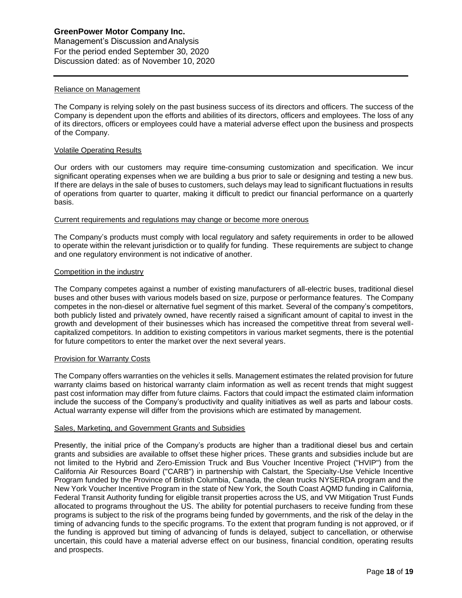### Reliance on Management

The Company is relying solely on the past business success of its directors and officers. The success of the Company is dependent upon the efforts and abilities of its directors, officers and employees. The loss of any of its directors, officers or employees could have a material adverse effect upon the business and prospects of the Company.

#### Volatile Operating Results

Our orders with our customers may require time-consuming customization and specification. We incur significant operating expenses when we are building a bus prior to sale or designing and testing a new bus. If there are delays in the sale of buses to customers, such delays may lead to significant fluctuations in results of operations from quarter to quarter, making it difficult to predict our financial performance on a quarterly basis.

#### Current requirements and regulations may change or become more onerous

The Company's products must comply with local regulatory and safety requirements in order to be allowed to operate within the relevant jurisdiction or to qualify for funding. These requirements are subject to change and one regulatory environment is not indicative of another.

#### Competition in the industry

The Company competes against a number of existing manufacturers of all-electric buses, traditional diesel buses and other buses with various models based on size, purpose or performance features. The Company competes in the non-diesel or alternative fuel segment of this market. Several of the company's competitors, both publicly listed and privately owned, have recently raised a significant amount of capital to invest in the growth and development of their businesses which has increased the competitive threat from several wellcapitalized competitors. In addition to existing competitors in various market segments, there is the potential for future competitors to enter the market over the next several years.

### Provision for Warranty Costs

The Company offers warranties on the vehicles it sells. Management estimates the related provision for future warranty claims based on historical warranty claim information as well as recent trends that might suggest past cost information may differ from future claims. Factors that could impact the estimated claim information include the success of the Company's productivity and quality initiatives as well as parts and labour costs. Actual warranty expense will differ from the provisions which are estimated by management.

#### Sales, Marketing, and Government Grants and Subsidies

Presently, the initial price of the Company's products are higher than a traditional diesel bus and certain grants and subsidies are available to offset these higher prices. These grants and subsidies include but are not limited to the Hybrid and Zero-Emission Truck and Bus Voucher Incentive Project ("HVIP") from the California Air Resources Board ("CARB") in partnership with Calstart, the Specialty-Use Vehicle Incentive Program funded by the Province of British Columbia, Canada, the clean trucks NYSERDA program and the New York Voucher Incentive Program in the state of New York, the South Coast AQMD funding in California, Federal Transit Authority funding for eligible transit properties across the US, and VW Mitigation Trust Funds allocated to programs throughout the US. The ability for potential purchasers to receive funding from these programs is subject to the risk of the programs being funded by governments, and the risk of the delay in the timing of advancing funds to the specific programs. To the extent that program funding is not approved, or if the funding is approved but timing of advancing of funds is delayed, subject to cancellation, or otherwise uncertain, this could have a material adverse effect on our business, financial condition, operating results and prospects.